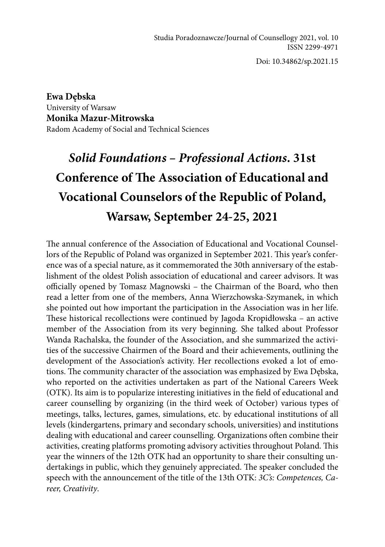Doi: 10.34862/sp.2021.15

**Ewa Dębska** University of Warsaw **Monika Mazur-Mitrowska** Radom Academy of Social and Technical Sciences

## *Solid Foundations – Professional Actions***. 31st Conference of The Association of Educational and Vocational Counselors of the Republic of Poland, Warsaw, September 24-25, 2021**

The annual conference of the Association of Educational and Vocational Counsellors of the Republic of Poland was organized in September 2021. This year's conference was of a special nature, as it commemorated the 30th anniversary of the establishment of the oldest Polish association of educational and career advisors. It was officially opened by Tomasz Magnowski – the Chairman of the Board, who then read a letter from one of the members, Anna Wierzchowska-Szymanek, in which she pointed out how important the participation in the Association was in her life. These historical recollections were continued by Jagoda Kropidłowska – an active member of the Association from its very beginning. She talked about Professor Wanda Rachalska, the founder of the Association, and she summarized the activities of the successive Chairmen of the Board and their achievements, outlining the development of the Association's activity. Her recollections evoked a lot of emotions. The community character of the association was emphasized by Ewa Dębska, who reported on the activities undertaken as part of the National Careers Week (OTK). Its aim is to popularize interesting initiatives in the field of educational and career counselling by organizing (in the third week of October) various types of meetings, talks, lectures, games, simulations, etc. by educational institutions of all levels (kindergartens, primary and secondary schools, universities) and institutions dealing with educational and career counselling. Organizations often combine their activities, creating platforms promoting advisory activities throughout Poland. This year the winners of the 12th OTK had an opportunity to share their consulting undertakings in public, which they genuinely appreciated. The speaker concluded the speech with the announcement of the title of the 13th OTK: *3C's: Competences, Career, Creativity*.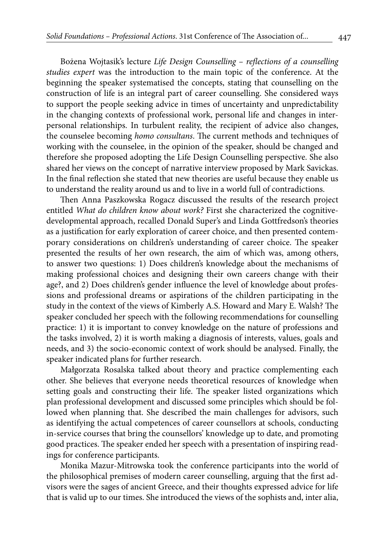Bożena Wojtasik's lecture *Life Design Counselling – reflections of a counselling studies expert* was the introduction to the main topic of the conference. At the beginning the speaker systematised the concepts, stating that counselling on the construction of life is an integral part of career counselling. She considered ways to support the people seeking advice in times of uncertainty and unpredictability in the changing contexts of professional work, personal life and changes in interpersonal relationships. In turbulent reality, the recipient of advice also changes, the counselee becoming *homo consultans*. The current methods and techniques of working with the counselee, in the opinion of the speaker, should be changed and therefore she proposed adopting the Life Design Counselling perspective. She also shared her views on the concept of narrative interview proposed by Mark Savickas. In the final reflection she stated that new theories are useful because they enable us to understand the reality around us and to live in a world full of contradictions.

Then Anna Paszkowska Rogacz discussed the results of the research project entitled *What do children know about work?* First she characterized the cognitivedevelopmental approach, recalled Donald Super's and Linda Gottfredson's theories as a justification for early exploration of career choice, and then presented contemporary considerations on children's understanding of career choice. The speaker presented the results of her own research, the aim of which was, among others, to answer two questions: 1) Does children's knowledge about the mechanisms of making professional choices and designing their own careers change with their age?, and 2) Does children's gender influence the level of knowledge about professions and professional dreams or aspirations of the children participating in the study in the context of the views of Kimberly A.S. Howard and Mary E. Walsh? The speaker concluded her speech with the following recommendations for counselling practice: 1) it is important to convey knowledge on the nature of professions and the tasks involved, 2) it is worth making a diagnosis of interests, values, goals and needs, and 3) the socio-economic context of work should be analysed. Finally, the speaker indicated plans for further research.

Małgorzata Rosalska talked about theory and practice complementing each other. She believes that everyone needs theoretical resources of knowledge when setting goals and constructing their life. The speaker listed organizations which plan professional development and discussed some principles which should be followed when planning that. She described the main challenges for advisors, such as identifying the actual competences of career counsellors at schools, conducting in-service courses that bring the counsellors' knowledge up to date, and promoting good practices. The speaker ended her speech with a presentation of inspiring readings for conference participants.

Monika Mazur-Mitrowska took the conference participants into the world of the philosophical premises of modern career counselling, arguing that the first advisors were the sages of ancient Greece, and their thoughts expressed advice for life that is valid up to our times. She introduced the views of the sophists and, inter alia,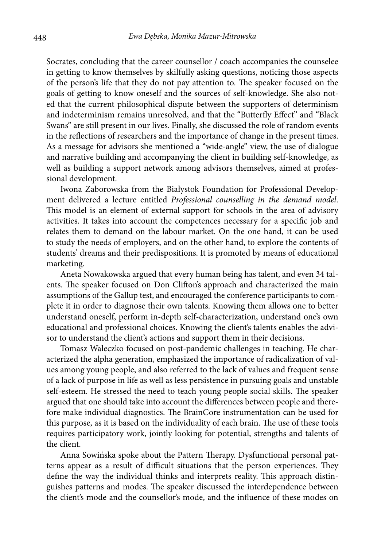Socrates, concluding that the career counsellor / coach accompanies the counselee in getting to know themselves by skilfully asking questions, noticing those aspects of the person's life that they do not pay attention to. The speaker focused on the goals of getting to know oneself and the sources of self-knowledge. She also noted that the current philosophical dispute between the supporters of determinism and indeterminism remains unresolved, and that the "Butterfly Effect" and "Black Swans" are still present in our lives. Finally, she discussed the role of random events in the reflections of researchers and the importance of change in the present times. As a message for advisors she mentioned a "wide-angle" view, the use of dialogue and narrative building and accompanying the client in building self-knowledge, as well as building a support network among advisors themselves, aimed at professional development.

Iwona Zaborowska from the Białystok Foundation for Professional Development delivered a lecture entitled *Professional counselling in the demand model*. This model is an element of external support for schools in the area of advisory activities. It takes into account the competences necessary for a specific job and relates them to demand on the labour market. On the one hand, it can be used to study the needs of employers, and on the other hand, to explore the contents of students' dreams and their predispositions. It is promoted by means of educational marketing.

Aneta Nowakowska argued that every human being has talent, and even 34 talents. The speaker focused on Don Clifton's approach and characterized the main assumptions of the Gallup test, and encouraged the conference participants to complete it in order to diagnose their own talents. Knowing them allows one to better understand oneself, perform in-depth self-characterization, understand one's own educational and professional choices. Knowing the client's talents enables the advisor to understand the client's actions and support them in their decisions.

Tomasz Waleczko focused on post-pandemic challenges in teaching. He characterized the alpha generation, emphasized the importance of radicalization of values among young people, and also referred to the lack of values and frequent sense of a lack of purpose in life as well as less persistence in pursuing goals and unstable self-esteem. He stressed the need to teach young people social skills. The speaker argued that one should take into account the differences between people and therefore make individual diagnostics. The BrainCore instrumentation can be used for this purpose, as it is based on the individuality of each brain. The use of these tools requires participatory work, jointly looking for potential, strengths and talents of the client.

Anna Sowińska spoke about the Pattern Therapy. Dysfunctional personal patterns appear as a result of difficult situations that the person experiences. They define the way the individual thinks and interprets reality. This approach distinguishes patterns and modes. The speaker discussed the interdependence between the client's mode and the counsellor's mode, and the influence of these modes on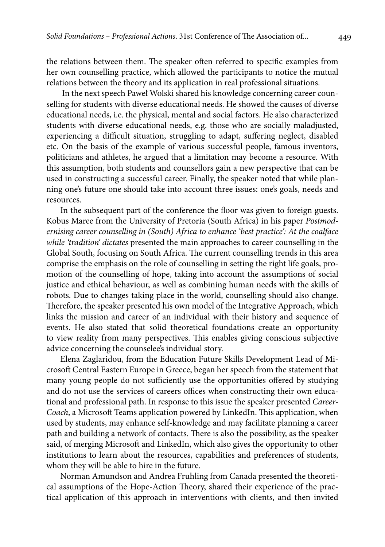the relations between them. The speaker often referred to specific examples from her own counselling practice, which allowed the participants to notice the mutual relations between the theory and its application in real professional situations.

 In the next speech Paweł Wolski shared his knowledge concerning career counselling for students with diverse educational needs. He showed the causes of diverse educational needs, i.e. the physical, mental and social factors. He also characterized students with diverse educational needs, e.g. those who are socially maladjusted, experiencing a difficult situation, struggling to adapt, suffering neglect, disabled etc. On the basis of the example of various successful people, famous inventors, politicians and athletes, he argued that a limitation may become a resource. With this assumption, both students and counsellors gain a new perspective that can be used in constructing a successful career. Finally, the speaker noted that while planning one's future one should take into account three issues: one's goals, needs and resources.

In the subsequent part of the conference the floor was given to foreign guests. Kobus Maree from the University of Pretoria (South Africa) in his paper *Postmodernising career counselling in (South) Africa to enhance 'best practice': At the coalface while 'tradition' dictates* presented the main approaches to career counselling in the Global South, focusing on South Africa. The current counselling trends in this area comprise the emphasis on the role of counselling in setting the right life goals, promotion of the counselling of hope, taking into account the assumptions of social justice and ethical behaviour, as well as combining human needs with the skills of robots. Due to changes taking place in the world, counselling should also change. Therefore, the speaker presented his own model of the Integrative Approach, which links the mission and career of an individual with their history and sequence of events. He also stated that solid theoretical foundations create an opportunity to view reality from many perspectives. This enables giving conscious subjective advice concerning the counselee's individual story.

Elena Zaglaridou, from the Education Future Skills Development Lead of Microsoft Central Eastern Europe in Greece, began her speech from the statement that many young people do not sufficiently use the opportunities offered by studying and do not use the services of careers offices when constructing their own educational and professional path. In response to this issue the speaker presented *Career-Coach*, a Microsoft Teams application powered by LinkedIn. This application, when used by students, may enhance self-knowledge and may facilitate planning a career path and building a network of contacts. There is also the possibility, as the speaker said, of merging Microsoft and LinkedIn, which also gives the opportunity to other institutions to learn about the resources, capabilities and preferences of students, whom they will be able to hire in the future.

Norman Amundson and Andrea Fruhling from Canada presented the theoretical assumptions of the Hope-Action Theory, shared their experience of the practical application of this approach in interventions with clients, and then invited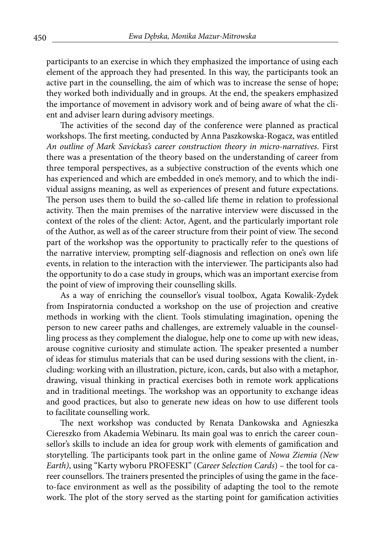participants to an exercise in which they emphasized the importance of using each element of the approach they had presented. In this way, the participants took an active part in the counselling, the aim of which was to increase the sense of hope; they worked both individually and in groups. At the end, the speakers emphasized the importance of movement in advisory work and of being aware of what the client and adviser learn during advisory meetings.

The activities of the second day of the conference were planned as practical workshops. The first meeting, conducted by Anna Paszkowska-Rogacz, was entitled *An outline of Mark Savickas's career construction theory in micro-narratives*. First there was a presentation of the theory based on the understanding of career from three temporal perspectives, as a subjective construction of the events which one has experienced and which are embedded in one's memory, and to which the individual assigns meaning, as well as experiences of present and future expectations. The person uses them to build the so-called life theme in relation to professional activity. Then the main premises of the narrative interview were discussed in the context of the roles of the client: Actor, Agent, and the particularly important role of the Author, as well as of the career structure from their point of view. The second part of the workshop was the opportunity to practically refer to the questions of the narrative interview, prompting self-diagnosis and reflection on one's own life events, in relation to the interaction with the interviewer. The participants also had the opportunity to do a case study in groups, which was an important exercise from the point of view of improving their counselling skills.

As a way of enriching the counsellor's visual toolbox, Agata Kowalik-Zydek from Inspiratornia conducted a workshop on the use of projection and creative methods in working with the client. Tools stimulating imagination, opening the person to new career paths and challenges, are extremely valuable in the counselling process as they complement the dialogue, help one to come up with new ideas, arouse cognitive curiosity and stimulate action. The speaker presented a number of ideas for stimulus materials that can be used during sessions with the client, including: working with an illustration, picture, icon, cards, but also with a metaphor, drawing, visual thinking in practical exercises both in remote work applications and in traditional meetings. The workshop was an opportunity to exchange ideas and good practices, but also to generate new ideas on how to use different tools to facilitate counselling work.

The next workshop was conducted by Renata Dankowska and Agnieszka Ciereszko from Akademia Webinaru. Its main goal was to enrich the career counsellor's skills to include an idea for group work with elements of gamification and storytelling. The participants took part in the online game of *Nowa Ziemia (New Earth)*, using "Karty wyboru PROFESKI" (*Career Selection Cards*) – the tool for career counsellors. The trainers presented the principles of using the game in the faceto-face environment as well as the possibility of adapting the tool to the remote work. The plot of the story served as the starting point for gamification activities